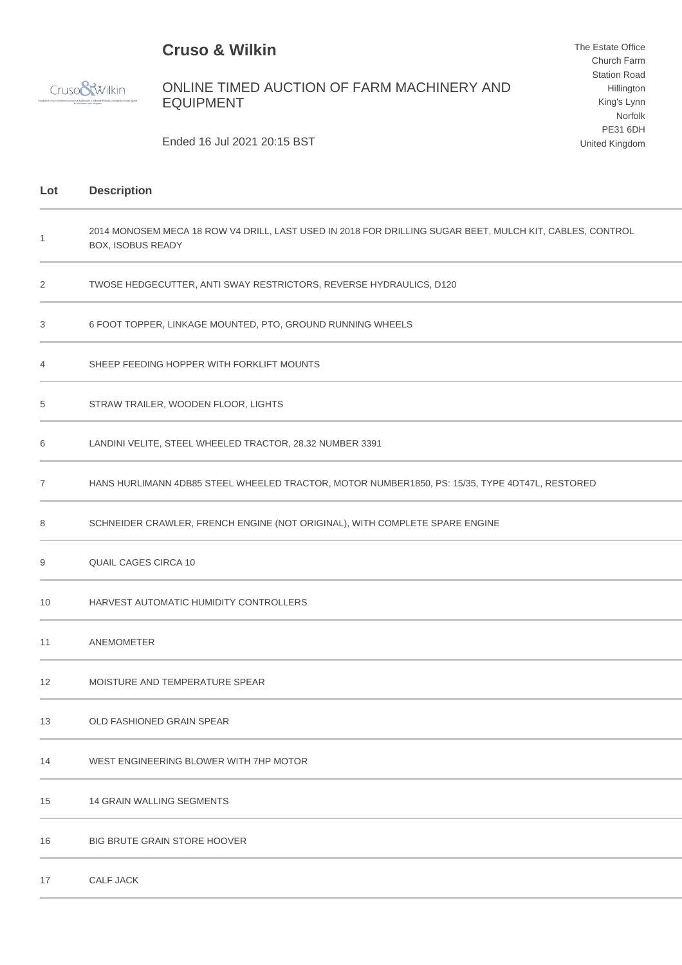## **Cruso & Wilkin**

Cruso<sup>8</sup>Wilkin

ONLINE TIMED AUCTION OF FARM MACHINERY AND EQUIPMENT

The Estate Office Church Farm Station Road Hillington King's Lynn Norfolk PE31 6DH United Kingdom

Ended 16 Jul 2021 20:15 BST

| Lot | <b>Description</b>                                                                                                                   |
|-----|--------------------------------------------------------------------------------------------------------------------------------------|
| 1   | 2014 MONOSEM MECA 18 ROW V4 DRILL, LAST USED IN 2018 FOR DRILLING SUGAR BEET, MULCH KIT, CABLES, CONTROL<br><b>BOX, ISOBUS READY</b> |
| 2   | TWOSE HEDGECUTTER, ANTI SWAY RESTRICTORS, REVERSE HYDRAULICS, D120                                                                   |
| 3   | 6 FOOT TOPPER, LINKAGE MOUNTED, PTO, GROUND RUNNING WHEELS                                                                           |
| 4   | SHEEP FEEDING HOPPER WITH FORKLIFT MOUNTS                                                                                            |
| 5   | STRAW TRAILER, WOODEN FLOOR, LIGHTS                                                                                                  |
| 6   | LANDINI VELITE, STEEL WHEELED TRACTOR, 28.32 NUMBER 3391                                                                             |
| 7   | HANS HURLIMANN 4DB85 STEEL WHEELED TRACTOR, MOTOR NUMBER1850, PS: 15/35, TYPE 4DT47L, RESTORED                                       |
| 8   | SCHNEIDER CRAWLER, FRENCH ENGINE (NOT ORIGINAL), WITH COMPLETE SPARE ENGINE                                                          |
| 9   | QUAIL CAGES CIRCA 10                                                                                                                 |
| 10  | HARVEST AUTOMATIC HUMIDITY CONTROLLERS                                                                                               |
| 11  | ANEMOMETER                                                                                                                           |
| 12  | MOISTURE AND TEMPERATURE SPEAR                                                                                                       |
| 13  | OLD FASHIONED GRAIN SPEAR                                                                                                            |
| 14  | WEST ENGINEERING BLOWER WITH 7HP MOTOR                                                                                               |
| 15  | <b>14 GRAIN WALLING SEGMENTS</b>                                                                                                     |
| 16  | <b>BIG BRUTE GRAIN STORE HOOVER</b>                                                                                                  |
| 17  | <b>CALF JACK</b>                                                                                                                     |
|     |                                                                                                                                      |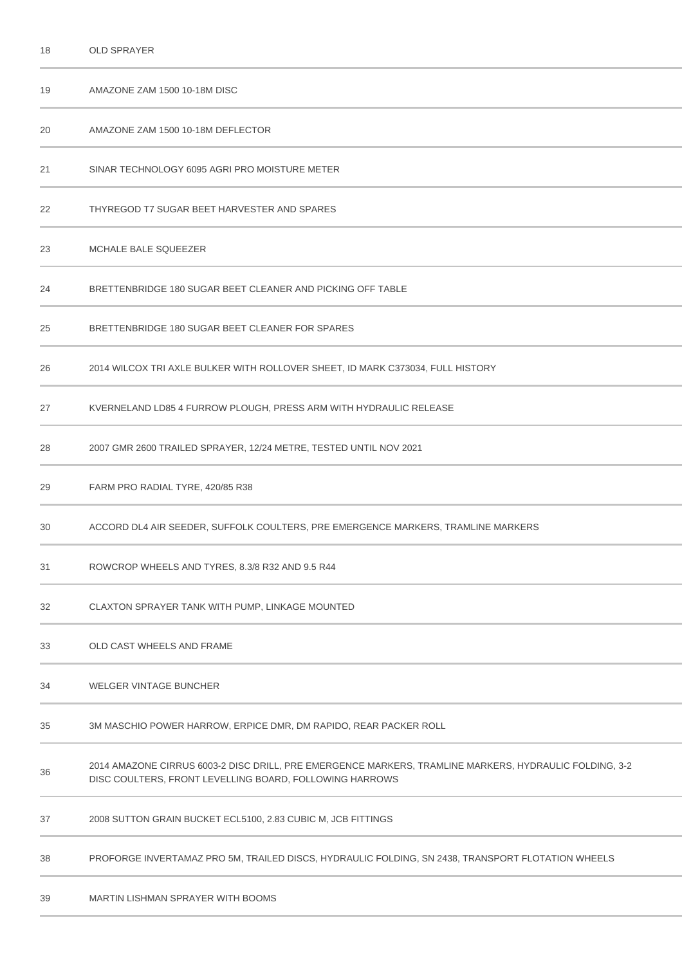| 18 | <b>OLD SPRAYER</b>                                                                                                                                                |
|----|-------------------------------------------------------------------------------------------------------------------------------------------------------------------|
| 19 | AMAZONE ZAM 1500 10-18M DISC                                                                                                                                      |
| 20 | AMAZONE ZAM 1500 10-18M DEFLECTOR                                                                                                                                 |
| 21 | SINAR TECHNOLOGY 6095 AGRI PRO MOISTURE METER                                                                                                                     |
| 22 | THYREGOD T7 SUGAR BEET HARVESTER AND SPARES                                                                                                                       |
| 23 | MCHALE BALE SQUEEZER                                                                                                                                              |
| 24 | BRETTENBRIDGE 180 SUGAR BEET CLEANER AND PICKING OFF TABLE                                                                                                        |
| 25 | BRETTENBRIDGE 180 SUGAR BEET CLEANER FOR SPARES                                                                                                                   |
| 26 | 2014 WILCOX TRI AXLE BULKER WITH ROLLOVER SHEET, ID MARK C373034, FULL HISTORY                                                                                    |
| 27 | KVERNELAND LD85 4 FURROW PLOUGH, PRESS ARM WITH HYDRAULIC RELEASE                                                                                                 |
| 28 | 2007 GMR 2600 TRAILED SPRAYER, 12/24 METRE, TESTED UNTIL NOV 2021                                                                                                 |
| 29 | FARM PRO RADIAL TYRE, 420/85 R38                                                                                                                                  |
| 30 | ACCORD DL4 AIR SEEDER, SUFFOLK COULTERS, PRE EMERGENCE MARKERS, TRAMLINE MARKERS                                                                                  |
| 31 | ROWCROP WHEELS AND TYRES, 8.3/8 R32 AND 9.5 R44                                                                                                                   |
| 32 | CLAXTON SPRAYER TANK WITH PUMP, LINKAGE MOUNTED                                                                                                                   |
| 33 | OLD CAST WHEELS AND FRAME                                                                                                                                         |
| 34 | WELGER VINTAGE BUNCHER                                                                                                                                            |
| 35 | 3M MASCHIO POWER HARROW, ERPICE DMR, DM RAPIDO, REAR PACKER ROLL                                                                                                  |
| 36 | 2014 AMAZONE CIRRUS 6003-2 DISC DRILL, PRE EMERGENCE MARKERS, TRAMLINE MARKERS, HYDRAULIC FOLDING, 3-2<br>DISC COULTERS, FRONT LEVELLING BOARD, FOLLOWING HARROWS |
| 37 | 2008 SUTTON GRAIN BUCKET ECL5100, 2.83 CUBIC M, JCB FITTINGS                                                                                                      |
| 38 | PROFORGE INVERTAMAZ PRO 5M, TRAILED DISCS, HYDRAULIC FOLDING, SN 2438, TRANSPORT FLOTATION WHEELS                                                                 |
|    |                                                                                                                                                                   |

MARTIN LISHMAN SPRAYER WITH BOOMS

×.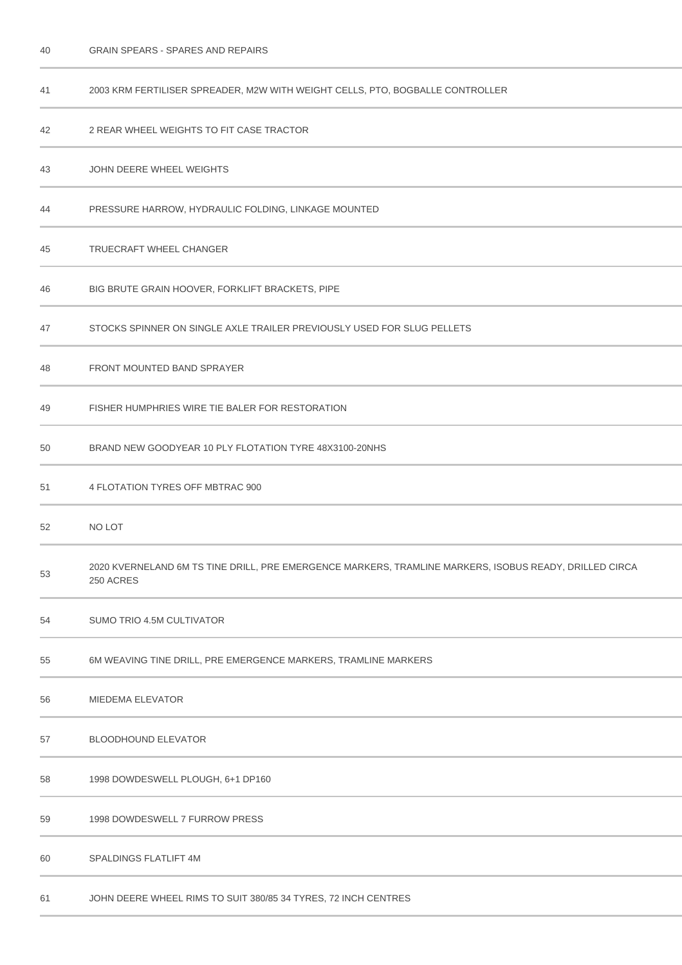| 40 | <b>GRAIN SPEARS - SPARES AND REPAIRS</b> |
|----|------------------------------------------|
|----|------------------------------------------|

| 41 | 2003 KRM FERTILISER SPREADER, M2W WITH WEIGHT CELLS, PTO, BOGBALLE CONTROLLER                                       |
|----|---------------------------------------------------------------------------------------------------------------------|
| 42 | 2 REAR WHEEL WEIGHTS TO FIT CASE TRACTOR                                                                            |
| 43 | JOHN DEERE WHEEL WEIGHTS                                                                                            |
| 44 | PRESSURE HARROW, HYDRAULIC FOLDING, LINKAGE MOUNTED                                                                 |
| 45 | TRUECRAFT WHEEL CHANGER                                                                                             |
| 46 | BIG BRUTE GRAIN HOOVER, FORKLIFT BRACKETS, PIPE                                                                     |
| 47 | STOCKS SPINNER ON SINGLE AXLE TRAILER PREVIOUSLY USED FOR SLUG PELLETS                                              |
| 48 | FRONT MOUNTED BAND SPRAYER                                                                                          |
| 49 | FISHER HUMPHRIES WIRE TIE BALER FOR RESTORATION                                                                     |
| 50 | BRAND NEW GOODYEAR 10 PLY FLOTATION TYRE 48X3100-20NHS                                                              |
| 51 | 4 FLOTATION TYRES OFF MBTRAC 900                                                                                    |
| 52 | NO LOT                                                                                                              |
| 53 | 2020 KVERNELAND 6M TS TINE DRILL, PRE EMERGENCE MARKERS, TRAMLINE MARKERS, ISOBUS READY, DRILLED CIRCA<br>250 ACRES |
| 54 | SUMO TRIO 4.5M CULTIVATOR                                                                                           |
| 55 | 6M WEAVING TINE DRILL, PRE EMERGENCE MARKERS, TRAMLINE MARKERS                                                      |
| 56 | MIEDEMA ELEVATOR                                                                                                    |
| 57 | <b>BLOODHOUND ELEVATOR</b>                                                                                          |
| 58 | 1998 DOWDESWELL PLOUGH, 6+1 DP160                                                                                   |
| 59 | 1998 DOWDESWELL 7 FURROW PRESS                                                                                      |
| 60 | SPALDINGS FLATLIFT 4M                                                                                               |
| 61 | JOHN DEERE WHEEL RIMS TO SUIT 380/85 34 TYRES, 72 INCH CENTRES                                                      |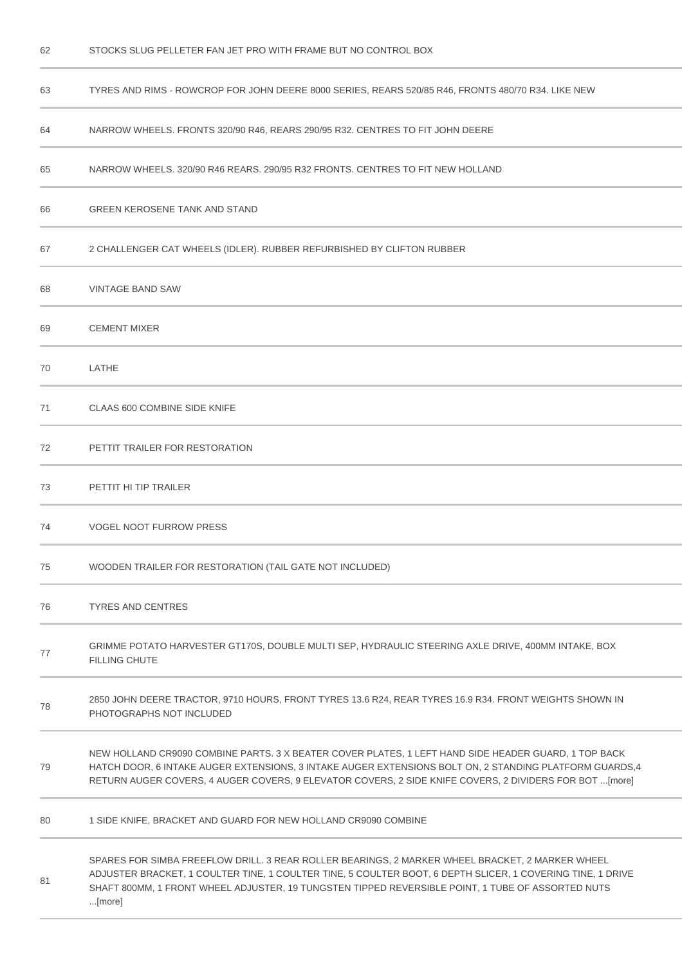| 63 | TYRES AND RIMS - ROWCROP FOR JOHN DEERE 8000 SERIES, REARS 520/85 R46, FRONTS 480/70 R34. LIKE NEW                                                                                                                                                                                                                           |
|----|------------------------------------------------------------------------------------------------------------------------------------------------------------------------------------------------------------------------------------------------------------------------------------------------------------------------------|
| 64 | NARROW WHEELS. FRONTS 320/90 R46, REARS 290/95 R32. CENTRES TO FIT JOHN DEERE                                                                                                                                                                                                                                                |
| 65 | NARROW WHEELS, 320/90 R46 REARS, 290/95 R32 FRONTS, CENTRES TO FIT NEW HOLLAND                                                                                                                                                                                                                                               |
| 66 | <b>GREEN KEROSENE TANK AND STAND</b>                                                                                                                                                                                                                                                                                         |
| 67 | 2 CHALLENGER CAT WHEELS (IDLER). RUBBER REFURBISHED BY CLIFTON RUBBER                                                                                                                                                                                                                                                        |
| 68 | <b>VINTAGE BAND SAW</b>                                                                                                                                                                                                                                                                                                      |
| 69 | <b>CEMENT MIXER</b>                                                                                                                                                                                                                                                                                                          |
| 70 | LATHE                                                                                                                                                                                                                                                                                                                        |
| 71 | <b>CLAAS 600 COMBINE SIDE KNIFE</b>                                                                                                                                                                                                                                                                                          |
| 72 | PETTIT TRAILER FOR RESTORATION                                                                                                                                                                                                                                                                                               |
| 73 | PETTIT HI TIP TRAILER                                                                                                                                                                                                                                                                                                        |
| 74 | <b>VOGEL NOOT FURROW PRESS</b>                                                                                                                                                                                                                                                                                               |
| 75 | WOODEN TRAILER FOR RESTORATION (TAIL GATE NOT INCLUDED)                                                                                                                                                                                                                                                                      |
| 76 | <b>TYRES AND CENTRES</b>                                                                                                                                                                                                                                                                                                     |
| 77 | GRIMME POTATO HARVESTER GT170S, DOUBLE MULTI SEP, HYDRAULIC STEERING AXLE DRIVE, 400MM INTAKE, BOX<br><b>FILLING CHUTE</b>                                                                                                                                                                                                   |
| 78 | 2850 JOHN DEERE TRACTOR, 9710 HOURS, FRONT TYRES 13.6 R24, REAR TYRES 16.9 R34. FRONT WEIGHTS SHOWN IN<br>PHOTOGRAPHS NOT INCLUDED                                                                                                                                                                                           |
| 79 | NEW HOLLAND CR9090 COMBINE PARTS. 3 X BEATER COVER PLATES, 1 LEFT HAND SIDE HEADER GUARD, 1 TOP BACK<br>HATCH DOOR, 6 INTAKE AUGER EXTENSIONS, 3 INTAKE AUGER EXTENSIONS BOLT ON, 2 STANDING PLATFORM GUARDS, 4<br>RETURN AUGER COVERS, 4 AUGER COVERS, 9 ELEVATOR COVERS, 2 SIDE KNIFE COVERS, 2 DIVIDERS FOR BOT [more]    |
| 80 | 1 SIDE KNIFE, BRACKET AND GUARD FOR NEW HOLLAND CR9090 COMBINE                                                                                                                                                                                                                                                               |
| 81 | SPARES FOR SIMBA FREEFLOW DRILL. 3 REAR ROLLER BEARINGS, 2 MARKER WHEEL BRACKET, 2 MARKER WHEEL<br>ADJUSTER BRACKET, 1 COULTER TINE, 1 COULTER TINE, 5 COULTER BOOT, 6 DEPTH SLICER, 1 COVERING TINE, 1 DRIVE<br>SHAFT 800MM, 1 FRONT WHEEL ADJUSTER, 19 TUNGSTEN TIPPED REVERSIBLE POINT, 1 TUBE OF ASSORTED NUTS<br>[more] |

STOCKS SLUG PELLETER FAN JET PRO WITH FRAME BUT NO CONTROL BOX